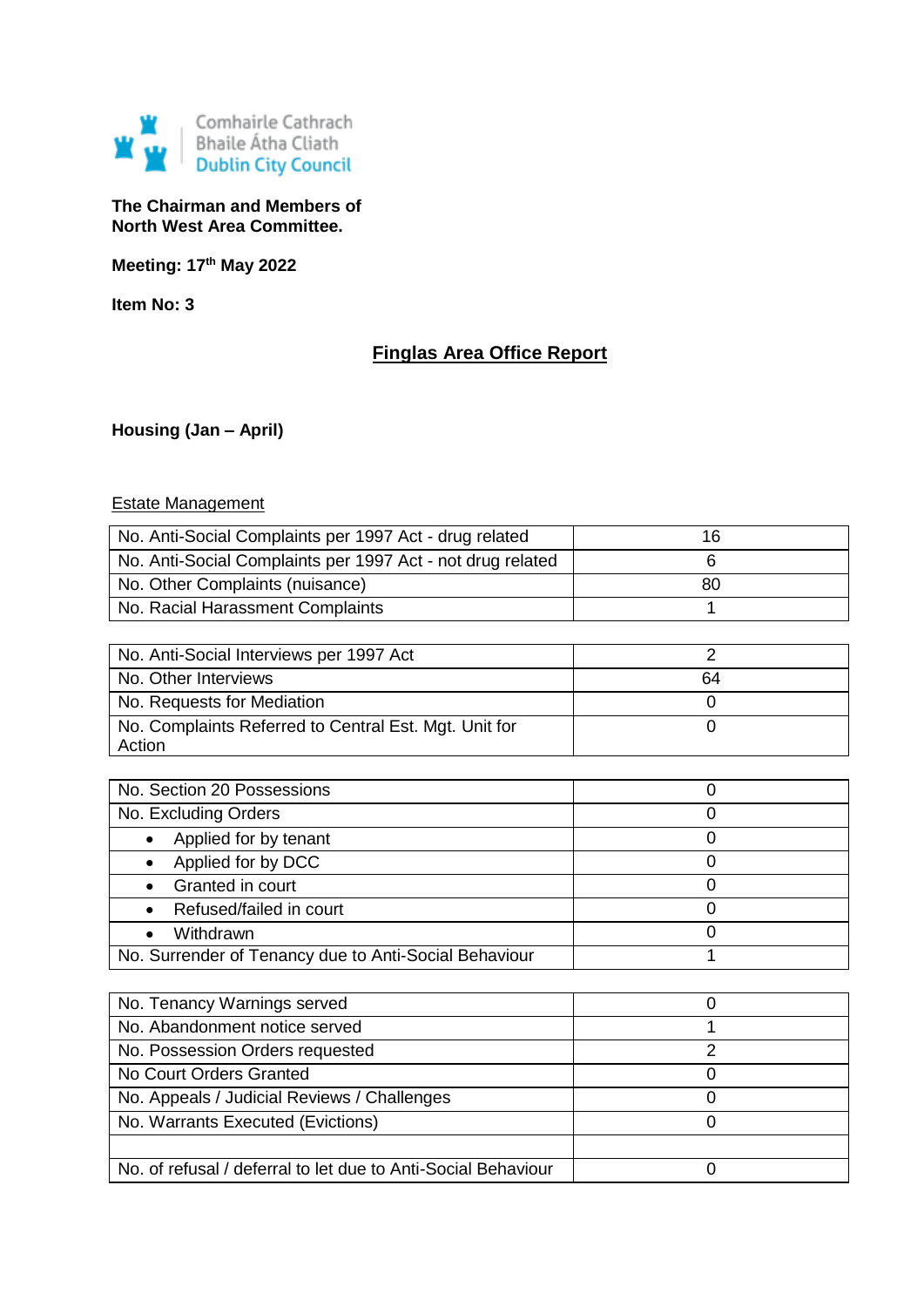

**The Chairman and Members of North West Area Committee.**

**Meeting: 17th May 2022**

**Item No: 3**

# **Finglas Area Office Report**

**Housing (Jan – April)**

# Estate Management

| No. Anti-Social Complaints per 1997 Act - drug related          | 16             |
|-----------------------------------------------------------------|----------------|
| No. Anti-Social Complaints per 1997 Act - not drug related      | 6              |
| No. Other Complaints (nuisance)                                 | 80             |
| No. Racial Harassment Complaints                                | 1              |
|                                                                 |                |
| No. Anti-Social Interviews per 1997 Act                         | $\overline{2}$ |
| No. Other Interviews                                            | 64             |
| No. Requests for Mediation                                      | 0              |
| No. Complaints Referred to Central Est. Mgt. Unit for<br>Action | $\overline{0}$ |
|                                                                 |                |
| No. Section 20 Possessions                                      | 0              |
| No. Excluding Orders                                            | 0              |
| Applied for by tenant<br>$\bullet$                              | 0              |
| Applied for by DCC<br>$\bullet$                                 | 0              |
| Granted in court<br>$\bullet$                                   | 0              |
| Refused/failed in court<br>$\bullet$                            | 0              |
| Withdrawn<br>$\bullet$                                          | 0              |
| No. Surrender of Tenancy due to Anti-Social Behaviour           | 1              |
|                                                                 |                |
| No. Tenancy Warnings served                                     | 0              |
| No. Abandonment notice served                                   | 1              |
| No. Possession Orders requested                                 | $\overline{2}$ |
| No Court Orders Granted                                         | 0              |
| No. Appeals / Judicial Reviews / Challenges                     | 0              |
| No. Warrants Executed (Evictions)                               | $\mathbf 0$    |

No. of refusal / deferral to let due to Anti-Social Behaviour | 0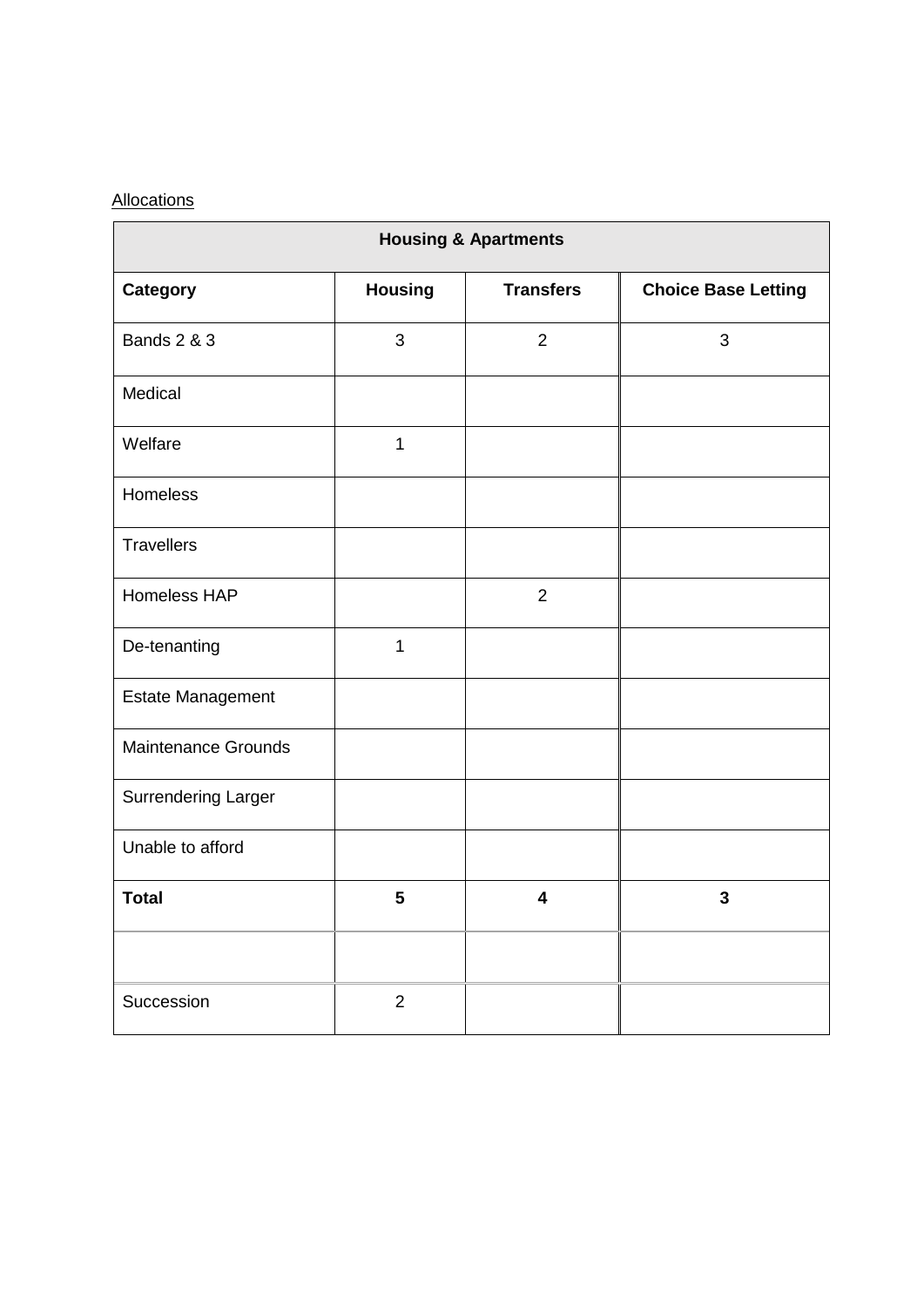# **Allocations**

| <b>Housing &amp; Apartments</b> |                |                         |                            |
|---------------------------------|----------------|-------------------------|----------------------------|
| Category                        | <b>Housing</b> | <b>Transfers</b>        | <b>Choice Base Letting</b> |
| <b>Bands 2 &amp; 3</b>          | 3              | $\overline{2}$          | 3                          |
| Medical                         |                |                         |                            |
| Welfare                         | $\mathbf{1}$   |                         |                            |
| Homeless                        |                |                         |                            |
| <b>Travellers</b>               |                |                         |                            |
| <b>Homeless HAP</b>             |                | $\overline{2}$          |                            |
| De-tenanting                    | $\mathbf 1$    |                         |                            |
| Estate Management               |                |                         |                            |
| <b>Maintenance Grounds</b>      |                |                         |                            |
| <b>Surrendering Larger</b>      |                |                         |                            |
| Unable to afford                |                |                         |                            |
| <b>Total</b>                    | 5              | $\overline{\mathbf{4}}$ | $\overline{3}$             |
|                                 |                |                         |                            |
| Succession                      | $\overline{2}$ |                         |                            |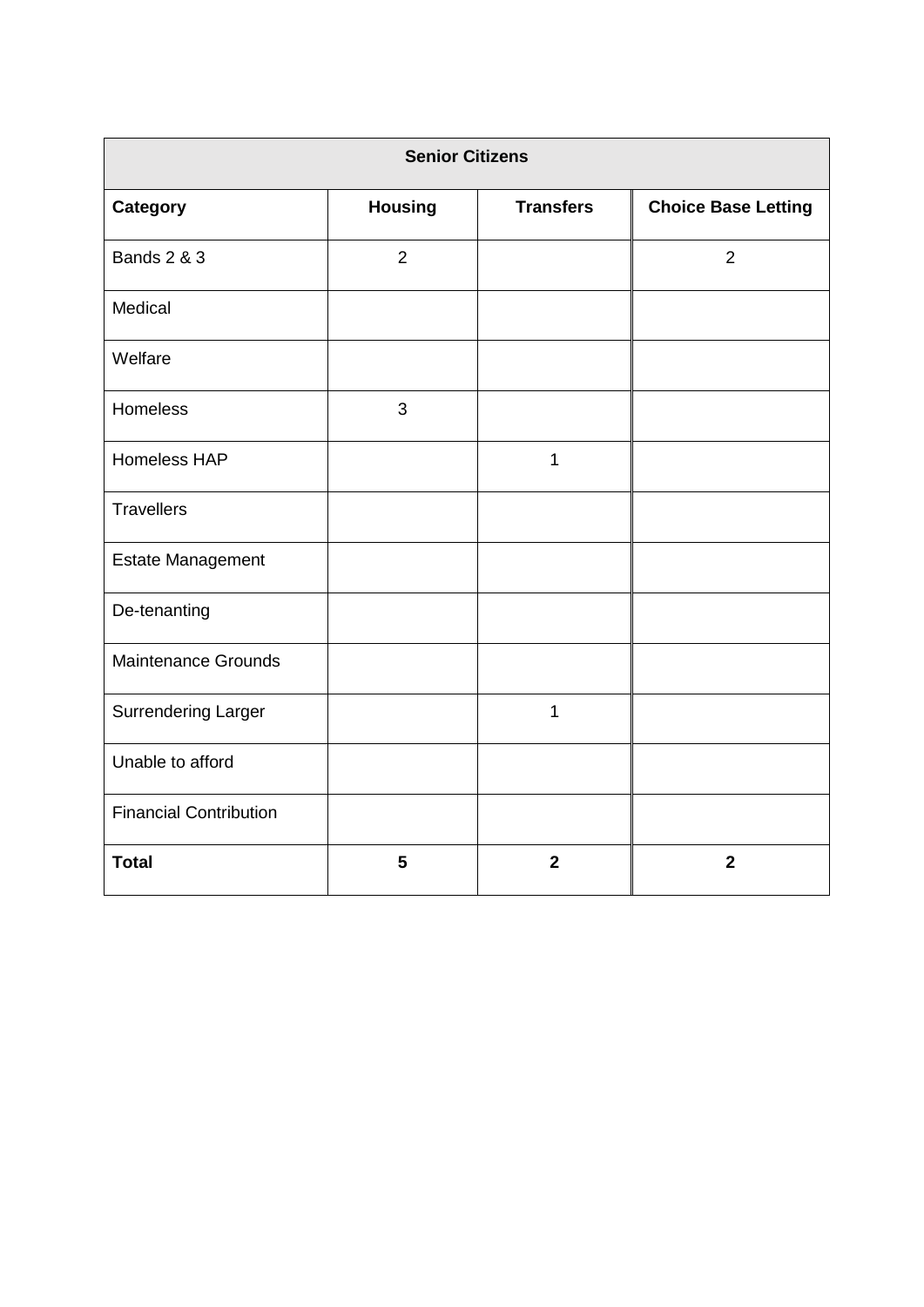| <b>Senior Citizens</b>        |                |                         |                            |
|-------------------------------|----------------|-------------------------|----------------------------|
| <b>Category</b>               | <b>Housing</b> | <b>Transfers</b>        | <b>Choice Base Letting</b> |
| <b>Bands 2 &amp; 3</b>        | $\overline{2}$ |                         | $\overline{2}$             |
| Medical                       |                |                         |                            |
| Welfare                       |                |                         |                            |
| Homeless                      | 3              |                         |                            |
| Homeless HAP                  |                | $\mathbf 1$             |                            |
| <b>Travellers</b>             |                |                         |                            |
| <b>Estate Management</b>      |                |                         |                            |
| De-tenanting                  |                |                         |                            |
| <b>Maintenance Grounds</b>    |                |                         |                            |
| <b>Surrendering Larger</b>    |                | $\mathbf{1}$            |                            |
| Unable to afford              |                |                         |                            |
| <b>Financial Contribution</b> |                |                         |                            |
| <b>Total</b>                  | 5              | $\overline{\mathbf{2}}$ | $\overline{\mathbf{2}}$    |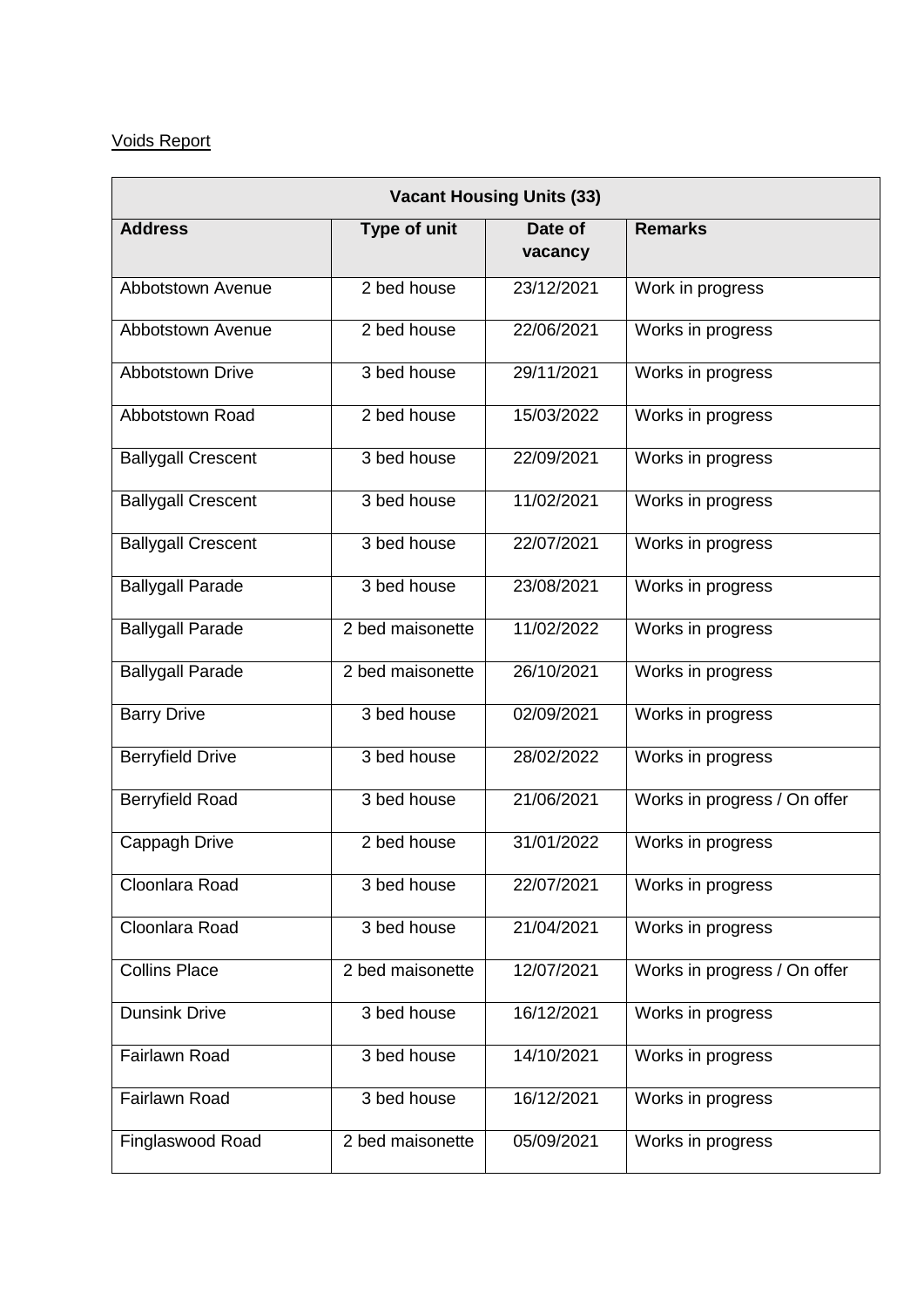# Voids Report

| <b>Vacant Housing Units (33)</b> |                  |                    |                              |
|----------------------------------|------------------|--------------------|------------------------------|
| <b>Address</b>                   | Type of unit     | Date of<br>vacancy | <b>Remarks</b>               |
| Abbotstown Avenue                | 2 bed house      | 23/12/2021         | Work in progress             |
| Abbotstown Avenue                | 2 bed house      | 22/06/2021         | Works in progress            |
| <b>Abbotstown Drive</b>          | 3 bed house      | 29/11/2021         | Works in progress            |
| Abbotstown Road                  | 2 bed house      | 15/03/2022         | Works in progress            |
| <b>Ballygall Crescent</b>        | 3 bed house      | 22/09/2021         | Works in progress            |
| <b>Ballygall Crescent</b>        | 3 bed house      | 11/02/2021         | Works in progress            |
| <b>Ballygall Crescent</b>        | 3 bed house      | 22/07/2021         | Works in progress            |
| <b>Ballygall Parade</b>          | 3 bed house      | 23/08/2021         | Works in progress            |
| <b>Ballygall Parade</b>          | 2 bed maisonette | 11/02/2022         | Works in progress            |
| <b>Ballygall Parade</b>          | 2 bed maisonette | 26/10/2021         | Works in progress            |
| <b>Barry Drive</b>               | 3 bed house      | 02/09/2021         | Works in progress            |
| <b>Berryfield Drive</b>          | 3 bed house      | 28/02/2022         | Works in progress            |
| <b>Berryfield Road</b>           | 3 bed house      | 21/06/2021         | Works in progress / On offer |
| Cappagh Drive                    | 2 bed house      | 31/01/2022         | Works in progress            |
| Cloonlara Road                   | 3 bed house      | 22/07/2021         | Works in progress            |
| Cloonlara Road                   | 3 bed house      | 21/04/2021         | Works in progress            |
| <b>Collins Place</b>             | 2 bed maisonette | 12/07/2021         | Works in progress / On offer |
| <b>Dunsink Drive</b>             | 3 bed house      | 16/12/2021         | Works in progress            |
| Fairlawn Road                    | 3 bed house      | 14/10/2021         | Works in progress            |
| Fairlawn Road                    | 3 bed house      | 16/12/2021         | Works in progress            |
| Finglaswood Road                 | 2 bed maisonette | 05/09/2021         | Works in progress            |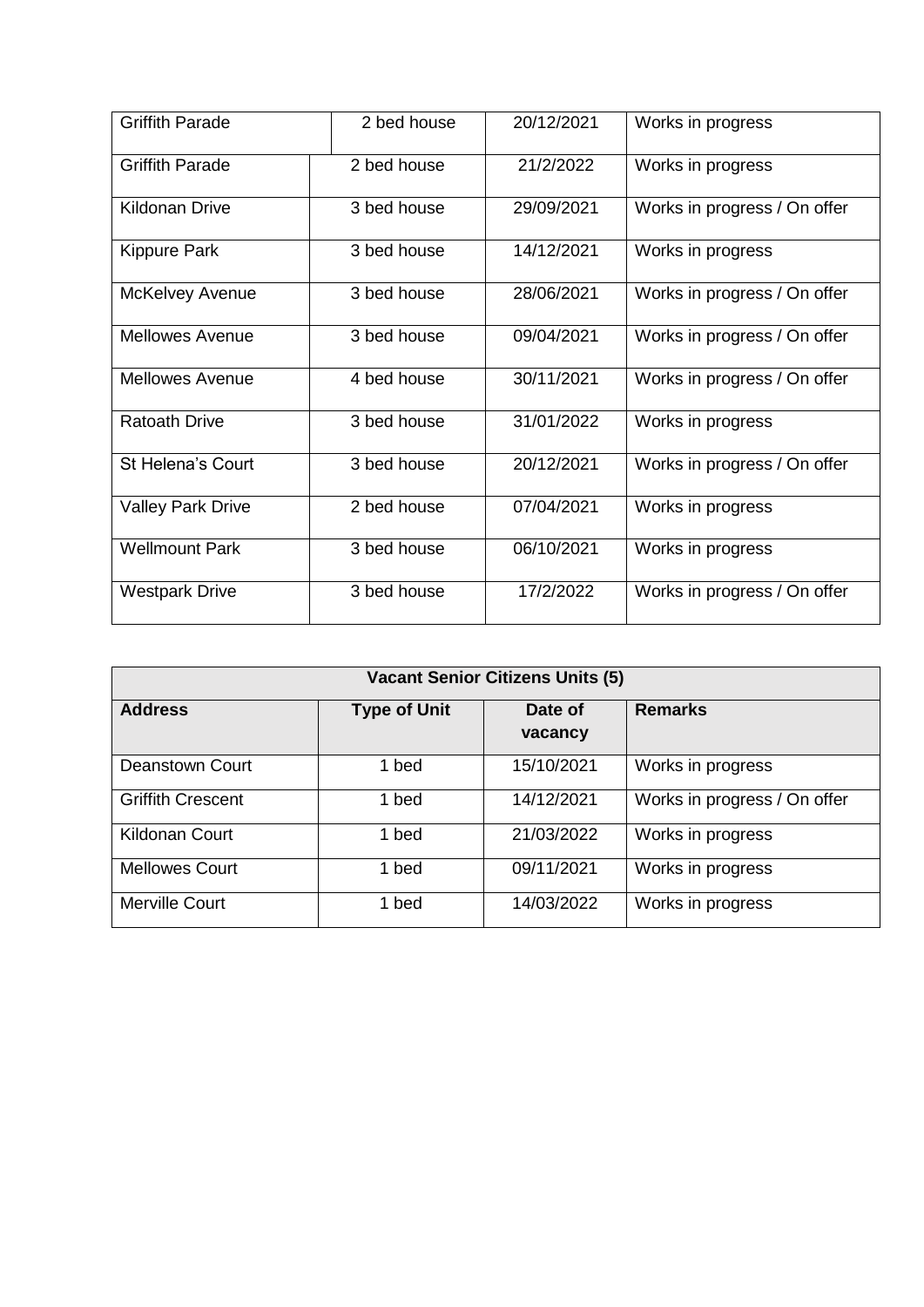| <b>Griffith Parade</b>   | 2 bed house | 20/12/2021 | Works in progress            |
|--------------------------|-------------|------------|------------------------------|
| <b>Griffith Parade</b>   | 2 bed house | 21/2/2022  | Works in progress            |
| <b>Kildonan Drive</b>    | 3 bed house | 29/09/2021 | Works in progress / On offer |
| <b>Kippure Park</b>      | 3 bed house | 14/12/2021 | Works in progress            |
| <b>McKelvey Avenue</b>   | 3 bed house | 28/06/2021 | Works in progress / On offer |
| <b>Mellowes Avenue</b>   | 3 bed house | 09/04/2021 | Works in progress / On offer |
| <b>Mellowes Avenue</b>   | 4 bed house | 30/11/2021 | Works in progress / On offer |
| <b>Ratoath Drive</b>     | 3 bed house | 31/01/2022 | Works in progress            |
| St Helena's Court        | 3 bed house | 20/12/2021 | Works in progress / On offer |
| <b>Valley Park Drive</b> | 2 bed house | 07/04/2021 | Works in progress            |
| <b>Wellmount Park</b>    | 3 bed house | 06/10/2021 | Works in progress            |
| <b>Westpark Drive</b>    | 3 bed house | 17/2/2022  | Works in progress / On offer |

| <b>Vacant Senior Citizens Units (5)</b> |                     |                    |                              |
|-----------------------------------------|---------------------|--------------------|------------------------------|
| <b>Address</b>                          | <b>Type of Unit</b> | Date of<br>vacancy | <b>Remarks</b>               |
| <b>Deanstown Court</b>                  | 1 bed               | 15/10/2021         | Works in progress            |
| <b>Griffith Crescent</b>                | 1 bed               | 14/12/2021         | Works in progress / On offer |
| <b>Kildonan Court</b>                   | 1 bed               | 21/03/2022         | Works in progress            |
| <b>Mellowes Court</b>                   | 1 bed               | 09/11/2021         | Works in progress            |
| Merville Court                          | 1 bed               | 14/03/2022         | Works in progress            |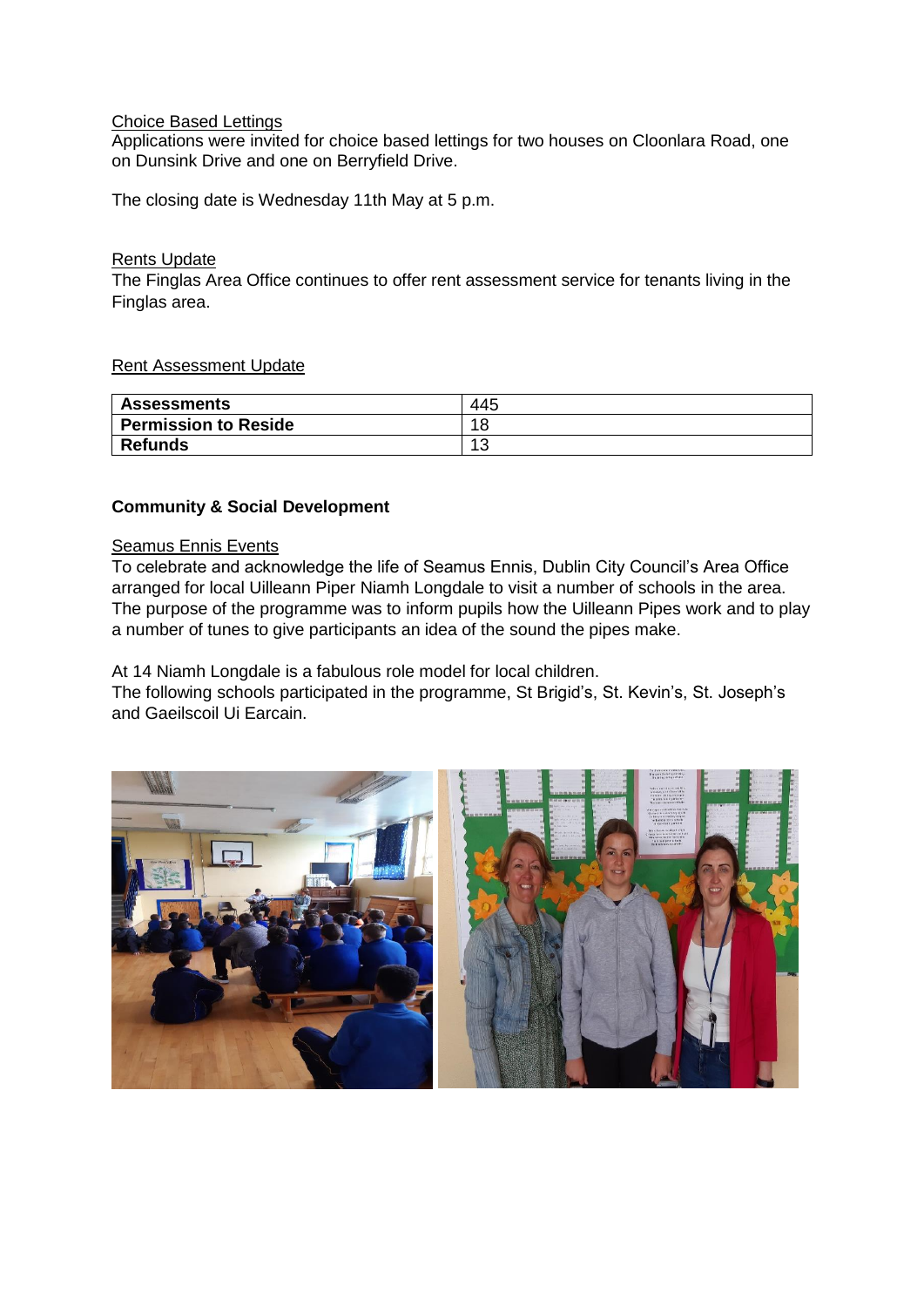## Choice Based Lettings

Applications were invited for choice based lettings for two houses on Cloonlara Road, one on Dunsink Drive and one on Berryfield Drive.

The closing date is Wednesday 11th May at 5 p.m.

#### Rents Update

The Finglas Area Office continues to offer rent assessment service for tenants living in the Finglas area.

## Rent Assessment Update

| <b>Assessments</b>          | 445              |
|-----------------------------|------------------|
| <b>Permission to Reside</b> | 18               |
| <b>Refunds</b>              | $\Lambda$<br>د ا |

## **Community & Social Development**

# Seamus Ennis Events

To celebrate and acknowledge the life of Seamus Ennis, Dublin City Council's Area Office arranged for local Uilleann Piper Niamh Longdale to visit a number of schools in the area. The purpose of the programme was to inform pupils how the Uilleann Pipes work and to play a number of tunes to give participants an idea of the sound the pipes make.

At 14 Niamh Longdale is a fabulous role model for local children.

The following schools participated in the programme, St Brigid's, St. Kevin's, St. Joseph's and Gaeilscoil Ui Earcain.

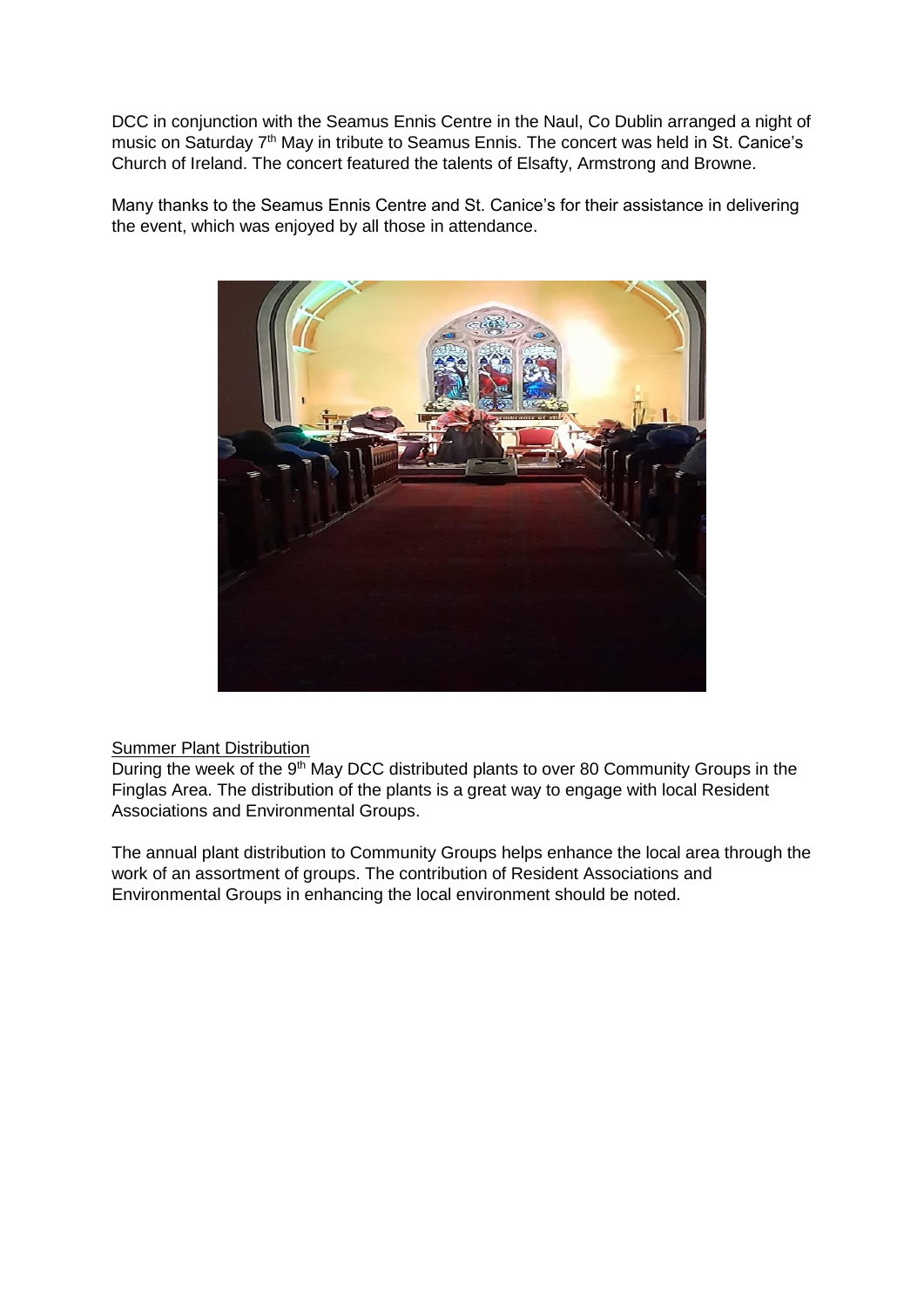DCC in conjunction with the Seamus Ennis Centre in the Naul, Co Dublin arranged a night of music on Saturday 7<sup>th</sup> May in tribute to Seamus Ennis. The concert was held in St. Canice's Church of Ireland. The concert featured the talents of Elsafty, Armstrong and Browne.

Many thanks to the Seamus Ennis Centre and St. Canice's for their assistance in delivering the event, which was enjoyed by all those in attendance.



# **Summer Plant Distribution**

During the week of the 9<sup>th</sup> May DCC distributed plants to over 80 Community Groups in the Finglas Area. The distribution of the plants is a great way to engage with local Resident Associations and Environmental Groups.

The annual plant distribution to Community Groups helps enhance the local area through the work of an assortment of groups. The contribution of Resident Associations and Environmental Groups in enhancing the local environment should be noted.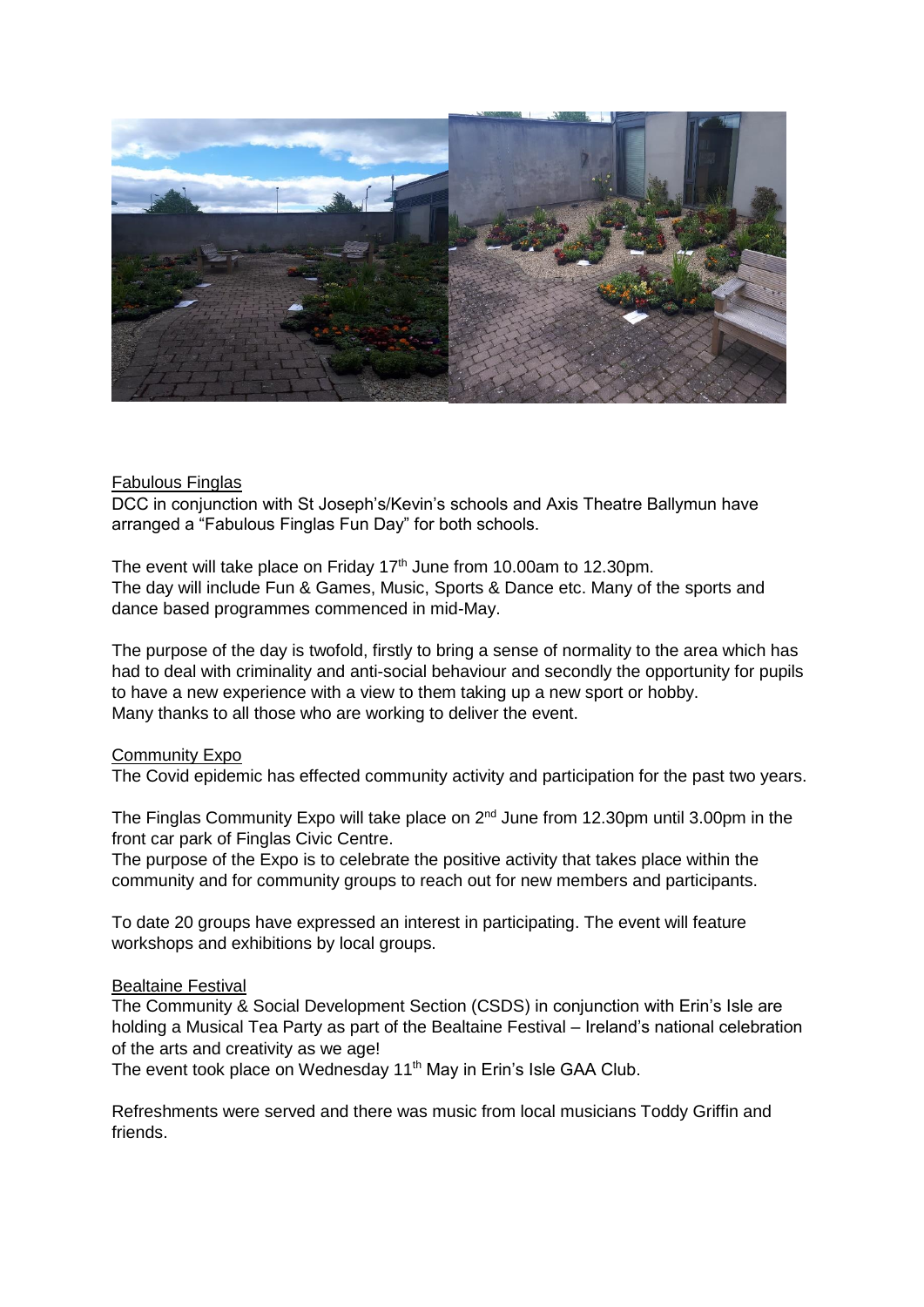

## Fabulous Finglas

DCC in conjunction with St Joseph's/Kevin's schools and Axis Theatre Ballymun have arranged a "Fabulous Finglas Fun Day" for both schools.

The event will take place on Friday 17<sup>th</sup> June from 10.00am to 12.30pm. The day will include Fun & Games, Music, Sports & Dance etc. Many of the sports and dance based programmes commenced in mid-May.

The purpose of the day is twofold, firstly to bring a sense of normality to the area which has had to deal with criminality and anti-social behaviour and secondly the opportunity for pupils to have a new experience with a view to them taking up a new sport or hobby. Many thanks to all those who are working to deliver the event.

#### Community Expo

The Covid epidemic has effected community activity and participation for the past two years.

The Finglas Community Expo will take place on  $2^{nd}$  June from 12.30pm until 3.00pm in the front car park of Finglas Civic Centre.

The purpose of the Expo is to celebrate the positive activity that takes place within the community and for community groups to reach out for new members and participants.

To date 20 groups have expressed an interest in participating. The event will feature workshops and exhibitions by local groups.

## Bealtaine Festival

The Community & Social Development Section (CSDS) in conjunction with Erin's Isle are holding a Musical Tea Party as part of the Bealtaine Festival – Ireland's national celebration of the arts and creativity as we age!

The event took place on Wednesday 11<sup>th</sup> May in Erin's Isle GAA Club.

Refreshments were served and there was music from local musicians Toddy Griffin and friends.